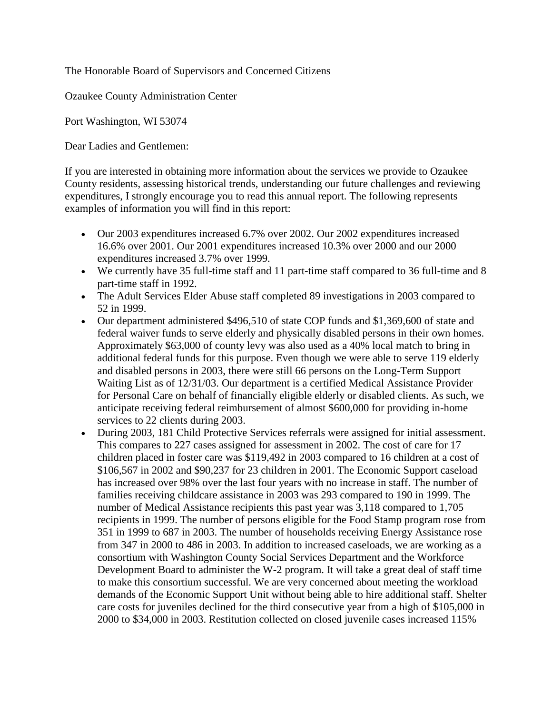The Honorable Board of Supervisors and Concerned Citizens

Ozaukee County Administration Center

Port Washington, WI 53074

Dear Ladies and Gentlemen:

If you are interested in obtaining more information about the services we provide to Ozaukee County residents, assessing historical trends, understanding our future challenges and reviewing expenditures, I strongly encourage you to read this annual report. The following represents examples of information you will find in this report:

- Our 2003 expenditures increased 6.7% over 2002. Our 2002 expenditures increased 16.6% over 2001. Our 2001 expenditures increased 10.3% over 2000 and our 2000 expenditures increased 3.7% over 1999.
- We currently have 35 full-time staff and 11 part-time staff compared to 36 full-time and 8 part-time staff in 1992.
- The Adult Services Elder Abuse staff completed 89 investigations in 2003 compared to 52 in 1999.
- Our department administered \$496,510 of state COP funds and \$1,369,600 of state and federal waiver funds to serve elderly and physically disabled persons in their own homes. Approximately \$63,000 of county levy was also used as a 40% local match to bring in additional federal funds for this purpose. Even though we were able to serve 119 elderly and disabled persons in 2003, there were still 66 persons on the Long-Term Support Waiting List as of 12/31/03. Our department is a certified Medical Assistance Provider for Personal Care on behalf of financially eligible elderly or disabled clients. As such, we anticipate receiving federal reimbursement of almost \$600,000 for providing in-home services to 22 clients during 2003.
- During 2003, 181 Child Protective Services referrals were assigned for initial assessment. This compares to 227 cases assigned for assessment in 2002. The cost of care for 17 children placed in foster care was \$119,492 in 2003 compared to 16 children at a cost of \$106,567 in 2002 and \$90,237 for 23 children in 2001. The Economic Support caseload has increased over 98% over the last four years with no increase in staff. The number of families receiving childcare assistance in 2003 was 293 compared to 190 in 1999. The number of Medical Assistance recipients this past year was 3,118 compared to 1,705 recipients in 1999. The number of persons eligible for the Food Stamp program rose from 351 in 1999 to 687 in 2003. The number of households receiving Energy Assistance rose from 347 in 2000 to 486 in 2003. In addition to increased caseloads, we are working as a consortium with Washington County Social Services Department and the Workforce Development Board to administer the W-2 program. It will take a great deal of staff time to make this consortium successful. We are very concerned about meeting the workload demands of the Economic Support Unit without being able to hire additional staff. Shelter care costs for juveniles declined for the third consecutive year from a high of \$105,000 in 2000 to \$34,000 in 2003. Restitution collected on closed juvenile cases increased 115%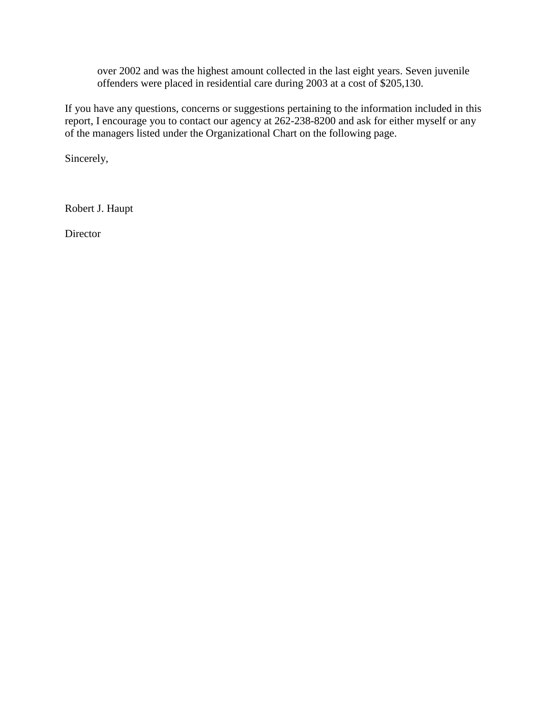over 2002 and was the highest amount collected in the last eight years. Seven juvenile offenders were placed in residential care during 2003 at a cost of \$205,130.

If you have any questions, concerns or suggestions pertaining to the information included in this report, I encourage you to contact our agency at 262-238-8200 and ask for either myself or any of the managers listed under the Organizational Chart on the following page.

Sincerely,

Robert J. Haupt

**Director**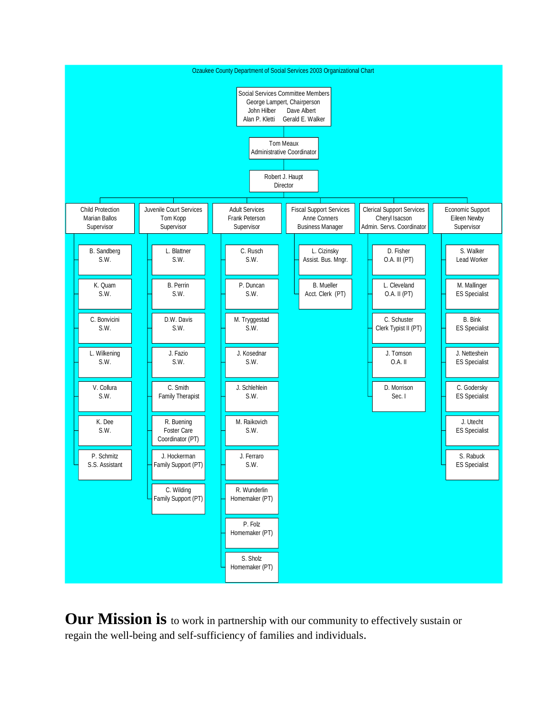

**Our Mission is** to work in partnership with our community to effectively sustain or regain the well-being and self-sufficiency of families and individuals.